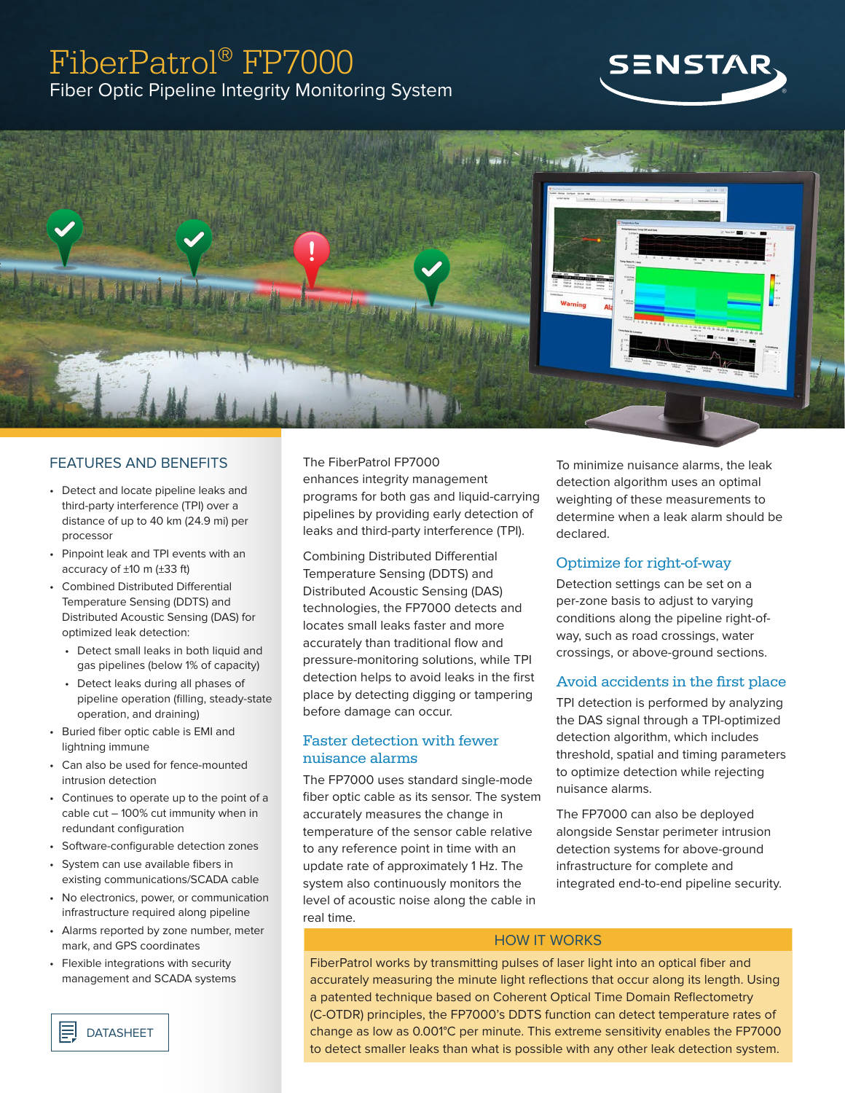# FiberPatrol® FP7000 Fiber Optic Pipeline Integrity Monitoring System





## FEATURES AND BENEFITS

- Detect and locate pipeline leaks and third-party interference (TPI) over a distance of up to 40 km (24.9 mi) per processor
- Pinpoint leak and TPI events with an accuracy of ±10 m (±33 ft)
- Combined Distributed Differential Temperature Sensing (DDTS) and Distributed Acoustic Sensing (DAS) for optimized leak detection:
	- Detect small leaks in both liquid and gas pipelines (below 1% of capacity)
	- Detect leaks during all phases of pipeline operation (filling, steady-state operation, and draining)
- Buried fiber optic cable is EMI and lightning immune
- Can also be used for fence-mounted intrusion detection
- Continues to operate up to the point of a cable cut – 100% cut immunity when in redundant configuration
- Software-configurable detection zones
- System can use available fibers in existing communications/SCADA cable
- No electronics, power, or communication infrastructure required along pipeline
- Alarms reported by zone number, meter mark, and GPS coordinates
- Flexible integrations with security management and SCADA systems

## The FiberPatrol FP7000 enhances integrity management programs for both gas and liquid-carrying pipelines by providing early detection of

leaks and third-party interference (TPI).

Combining Distributed Differential Temperature Sensing (DDTS) and Distributed Acoustic Sensing (DAS) technologies, the FP7000 detects and locates small leaks faster and more accurately than traditional flow and pressure-monitoring solutions, while TPI detection helps to avoid leaks in the first place by detecting digging or tampering before damage can occur.

## Faster detection with fewer nuisance alarms

The FP7000 uses standard single-mode fiber optic cable as its sensor. The system accurately measures the change in temperature of the sensor cable relative to any reference point in time with an update rate of approximately 1 Hz. The system also continuously monitors the level of acoustic noise along the cable in real time.

To minimize nuisance alarms, the leak detection algorithm uses an optimal weighting of these measurements to determine when a leak alarm should be declared.

### Optimize for right-of-way

Detection settings can be set on a per-zone basis to adjust to varying conditions along the pipeline right-ofway, such as road crossings, water crossings, or above-ground sections.

## Avoid accidents in the first place

TPI detection is performed by analyzing the DAS signal through a TPI-optimized detection algorithm, which includes threshold, spatial and timing parameters to optimize detection while rejecting nuisance alarms.

The FP7000 can also be deployed alongside Senstar perimeter intrusion detection systems for above-ground infrastructure for complete and integrated end-to-end pipeline security.

## HOW IT WORKS

FiberPatrol works by transmitting pulses of laser light into an optical fiber and accurately measuring the minute light reflections that occur along its length. Using a patented technique based on Coherent Optical Time Domain Reflectometry (C-OTDR) principles, the FP7000's DDTS function can detect temperature rates of change as low as 0.001°C per minute. This extreme sensitivity enables the FP7000 to detect smaller leaks than what is possible with any other leak detection system.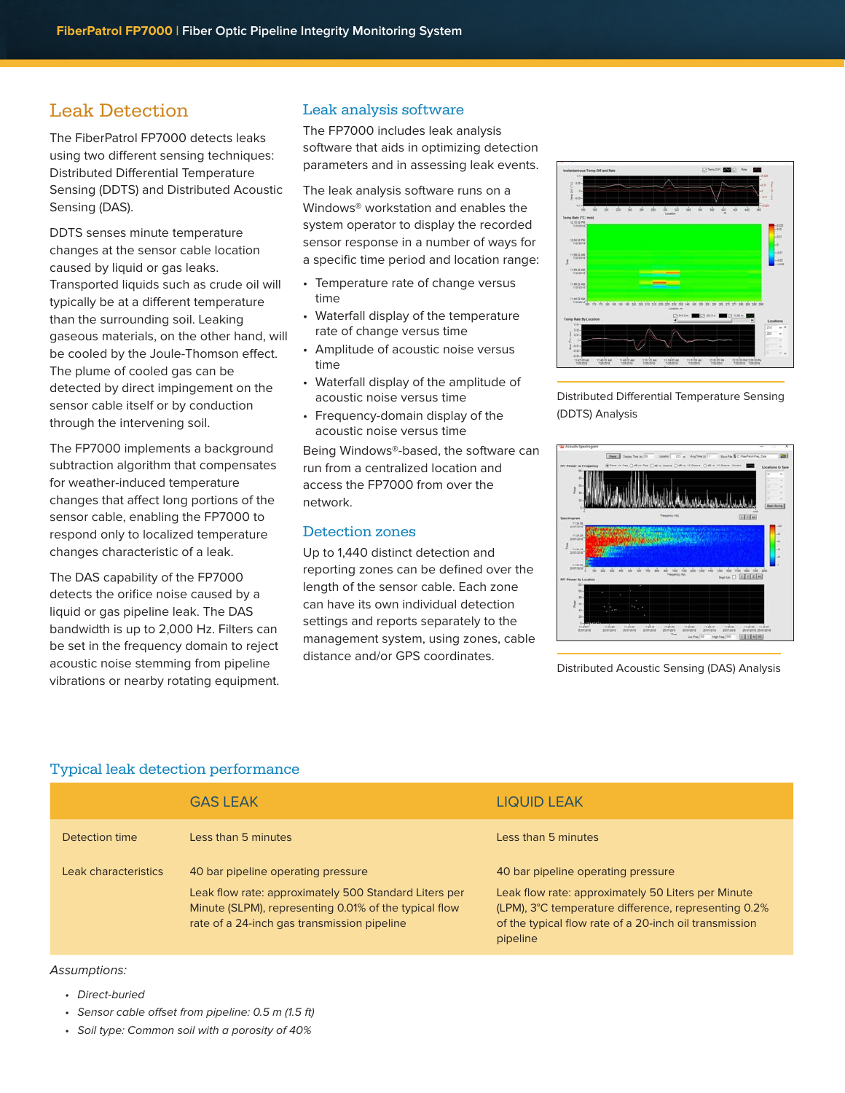## Leak Detection

The FiberPatrol FP7000 detects leaks using two different sensing techniques: Distributed Differential Temperature Sensing (DDTS) and Distributed Acoustic Sensing (DAS).

DDTS senses minute temperature changes at the sensor cable location caused by liquid or gas leaks. Transported liquids such as crude oil will typically be at a different temperature than the surrounding soil. Leaking gaseous materials, on the other hand, will be cooled by the Joule-Thomson effect. The plume of cooled gas can be detected by direct impingement on the sensor cable itself or by conduction through the intervening soil.

The FP7000 implements a background subtraction algorithm that compensates for weather-induced temperature changes that affect long portions of the sensor cable, enabling the FP7000 to respond only to localized temperature changes characteristic of a leak.

The DAS capability of the FP7000 detects the orifice noise caused by a liquid or gas pipeline leak. The DAS bandwidth is up to 2,000 Hz. Filters can be set in the frequency domain to reject acoustic noise stemming from pipeline vibrations or nearby rotating equipment.

## Leak analysis software

The FP7000 includes leak analysis software that aids in optimizing detection parameters and in assessing leak events.

The leak analysis software runs on a Windows® workstation and enables the system operator to display the recorded sensor response in a number of ways for a specific time period and location range:

- Temperature rate of change versus time
- Waterfall display of the temperature rate of change versus time
- Amplitude of acoustic noise versus time
- Waterfall display of the amplitude of acoustic noise versus time
- Frequency-domain display of the acoustic noise versus time

Being Windows®-based, the software can run from a centralized location and access the FP7000 from over the network.

### Detection zones

Up to 1,440 distinct detection and reporting zones can be defined over the length of the sensor cable. Each zone can have its own individual detection settings and reports separately to the management system, using zones, cable distance and/or GPS coordinates.

uost: i<br>Tanan nsastine<br>Fotografi 

Distributed Differential Temperature Sensing (DDTS) Analysis



Distributed Acoustic Sensing (DAS) Analysis

## Typical leak detection performance

|                      | <b>GAS LEAK</b>                                                                                                                                                                                     | LIQUID LEAK                                                                                                                                                                                                            |
|----------------------|-----------------------------------------------------------------------------------------------------------------------------------------------------------------------------------------------------|------------------------------------------------------------------------------------------------------------------------------------------------------------------------------------------------------------------------|
| Detection time       | Less than 5 minutes                                                                                                                                                                                 | Less than 5 minutes                                                                                                                                                                                                    |
| Leak characteristics | 40 bar pipeline operating pressure<br>Leak flow rate: approximately 500 Standard Liters per<br>Minute (SLPM), representing 0.01% of the typical flow<br>rate of a 24-inch gas transmission pipeline | 40 bar pipeline operating pressure<br>Leak flow rate: approximately 50 Liters per Minute<br>(LPM), 3°C temperature difference, representing 0.2%<br>of the typical flow rate of a 20-inch oil transmission<br>pipeline |

### Assumptions:

- Direct-buried
- Sensor cable offset from pipeline: 0.5 m (1.5 ft)
- Soil type: Common soil with a porosity of 40%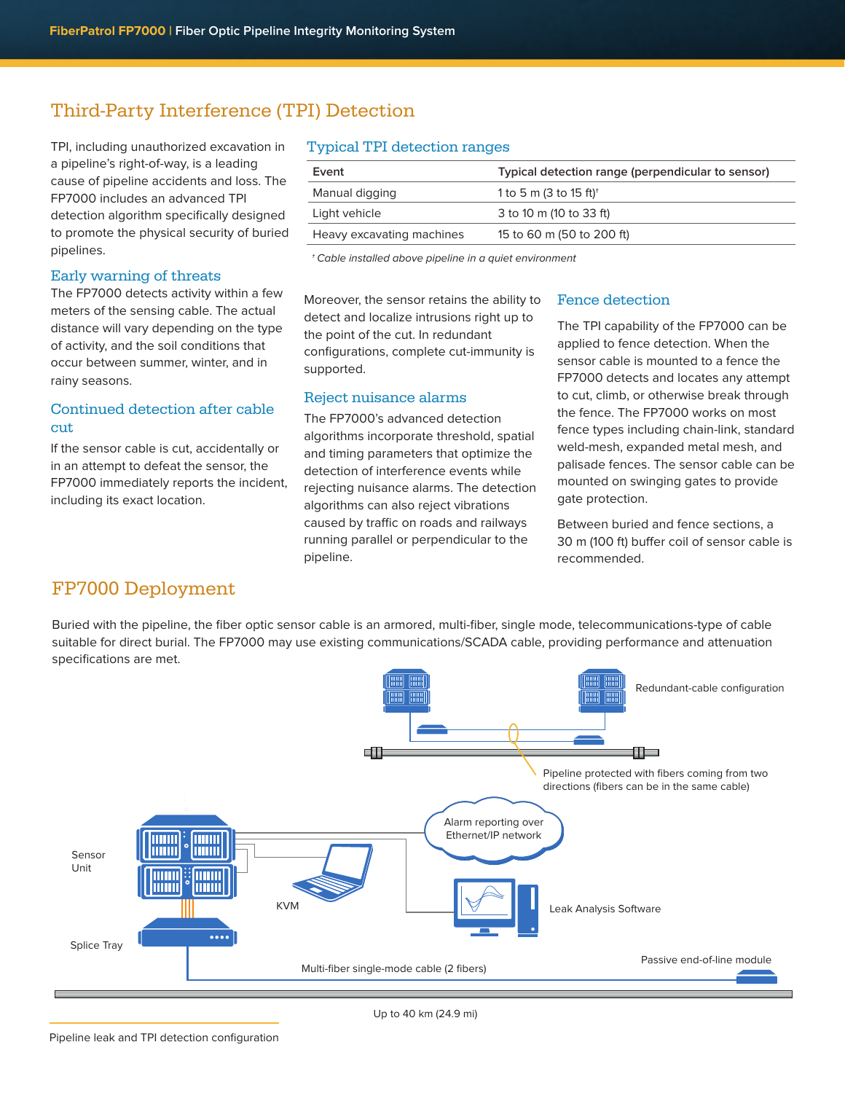## Third-Party Interference (TPI) Detection

TPI, including unauthorized excavation in a pipeline's right-of-way, is a leading cause of pipeline accidents and loss. The FP7000 includes an advanced TPI detection algorithm specifically designed to promote the physical security of buried pipelines.

### Early warning of threats

The FP7000 detects activity within a few meters of the sensing cable. The actual distance will vary depending on the type of activity, and the soil conditions that occur between summer, winter, and in rainy seasons.

## Continued detection after cable cut

If the sensor cable is cut, accidentally or in an attempt to defeat the sensor, the FP7000 immediately reports the incident, including its exact location.

### Typical TPI detection ranges

| Event                     | Typical detection range (perpendicular to sensor) |  |
|---------------------------|---------------------------------------------------|--|
| Manual digging            | 1 to 5 m (3 to 15 ft) <sup>+</sup>                |  |
| Light vehicle             | 3 to 10 m (10 to 33 ft)                           |  |
| Heavy excavating machines | 15 to 60 m (50 to 200 ft)                         |  |
|                           |                                                   |  |

† Cable installed above pipeline in a quiet environment

Moreover, the sensor retains the ability to detect and localize intrusions right up to the point of the cut. In redundant configurations, complete cut-immunity is supported.

## Reject nuisance alarms

The FP7000's advanced detection algorithms incorporate threshold, spatial and timing parameters that optimize the detection of interference events while rejecting nuisance alarms. The detection algorithms can also reject vibrations caused by traffic on roads and railways running parallel or perpendicular to the pipeline.

### Fence detection

The TPI capability of the FP7000 can be applied to fence detection. When the sensor cable is mounted to a fence the FP7000 detects and locates any attempt to cut, climb, or otherwise break through the fence. The FP7000 works on most fence types including chain-link, standard weld-mesh, expanded metal mesh, and palisade fences. The sensor cable can be mounted on swinging gates to provide gate protection.

Between buried and fence sections, a 30 m (100 ft) buffer coil of sensor cable is recommended.

## FP7000 Deployment

Buried with the pipeline, the fiber optic sensor cable is an armored, multi-fiber, single mode, telecommunications-type of cable suitable for direct burial. The FP7000 may use existing communications/SCADA cable, providing performance and attenuation specifications are met.



Up to 40 km (24.9 mi)